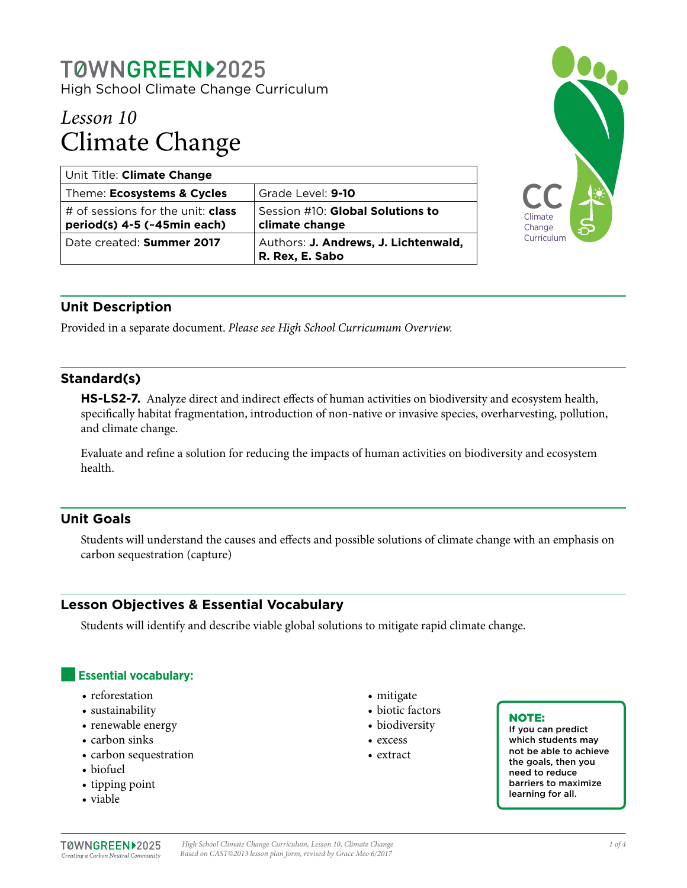# T0WNGREEN>2025 High School Climate Change Curriculum

# *Lesson 10* Climate Change

| Unit Title: Climate Change                                              |                                                         |
|-------------------------------------------------------------------------|---------------------------------------------------------|
| Theme: Ecosystems & Cycles                                              | Grade Level: 9-10                                       |
| # of sessions for the unit: <b>class</b><br>period(s) 4-5 (~45min each) | Session #10: Global Solutions to<br>climate change      |
| Date created: Summer 2017                                               | Authors: J. Andrews, J. Lichtenwald,<br>R. Rex, E. Sabo |



# **Unit Description**

Provided in a separate document. *Please see High School Curricumum Overview.*

# **Standard(s)**

**HS-LS2-7.** Analyze direct and indirect effects of human activities on biodiversity and ecosystem health, specifically habitat fragmentation, introduction of non-native or invasive species, overharvesting, pollution, and climate change.

Evaluate and refine a solution for reducing the impacts of human activities on biodiversity and ecosystem health.

# **Unit Goals**

Students will understand the causes and effects and possible solutions of climate change with an emphasis on carbon sequestration (capture)

# **Lesson Objectives & Essential Vocabulary**

Students will identify and describe viable global solutions to mitigate rapid climate change.

# **Essential vocabulary:**

- reforestation
- sustainability
- renewable energy
- carbon sinks
- carbon sequestration
- biofuel
- tipping point
- viable
- mitigate
- biotic factors
- biodiversity
- excess
- extract

#### NOTE:

If you can predict which students may not be able to achieve the goals, then you need to reduce barriers to maximize learning for all.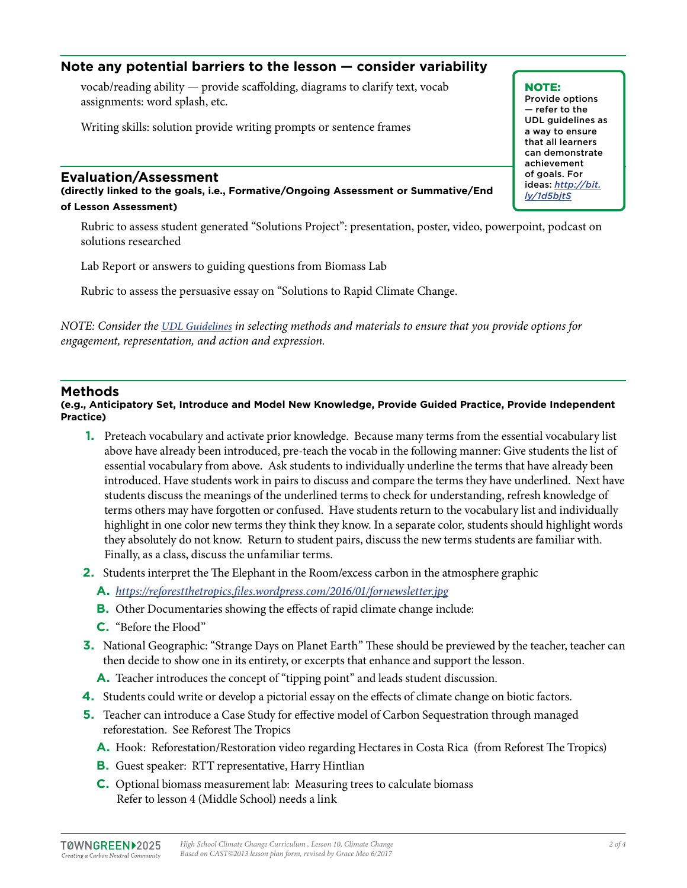# **Note any potential barriers to the lesson — consider variability**

vocab/reading ability — provide scaffolding, diagrams to clarify text, vocab assignments: word splash, etc.

Writing skills: solution provide writing prompts or sentence frames

#### **Evaluation/Assessment**

**(directly linked to the goals, i.e., Formative/Ongoing Assessment or Summative/End of Lesson Assessment)**

Rubric to assess student generated "Solutions Project": presentation, poster, video, powerpoint, podcast on solutions researched

Lab Report or answers to guiding questions from Biomass Lab

Rubric to assess the persuasive essay on "Solutions to Rapid Climate Change.

*NOTE: Consider the [UDL Guidelines](http://bit.ly/1d5bjtS) in selecting methods and materials to ensure that you provide options for engagement, representation, and action and expression.* 

#### **Methods**

**(e.g., Anticipatory Set, Introduce and Model New Knowledge, Provide Guided Practice, Provide Independent Practice)**

- **1.** Preteach vocabulary and activate prior knowledge. Because many terms from the essential vocabulary list above have already been introduced, pre-teach the vocab in the following manner: Give students the list of essential vocabulary from above. Ask students to individually underline the terms that have already been introduced. Have students work in pairs to discuss and compare the terms they have underlined. Next have students discuss the meanings of the underlined terms to check for understanding, refresh knowledge of terms others may have forgotten or confused. Have students return to the vocabulary list and individually highlight in one color new terms they think they know. In a separate color, students should highlight words they absolutely do not know. Return to student pairs, discuss the new terms students are familiar with. Finally, as a class, discuss the unfamiliar terms.
- **2.** Students interpret the The Elephant in the Room/excess carbon in the atmosphere graphic
	- **A.** *<https://reforestthetropics.files.wordpress.com/2016/01/fornewsletter.jpg>*
	- **B.** Other Documentaries showing the effects of rapid climate change include:
	- **C.** "Before the Flood"
- **3.** National Geographic: "Strange Days on Planet Earth" These should be previewed by the teacher, teacher can then decide to show one in its entirety, or excerpts that enhance and support the lesson.
	- **A.** Teacher introduces the concept of "tipping point" and leads student discussion.
- **4.** Students could write or develop a pictorial essay on the effects of climate change on biotic factors.
- **5.** Teacher can introduce a Case Study for effective model of Carbon Sequestration through managed reforestation. See Reforest The Tropics
	- **A.** Hook: Reforestation/Restoration video regarding Hectares in Costa Rica (from Reforest The Tropics)
	- **B.** Guest speaker: RTT representative, Harry Hintlian
	- **C.** Optional biomass measurement lab: Measuring trees to calculate biomass Refer to lesson 4 (Middle School) needs a link

NOTE: Provide options — refer to the UDL guidelines as a way to ensure that all learners can demonstrate achievement of goals. For ideas: *http://bit. ly/1d5bjtS*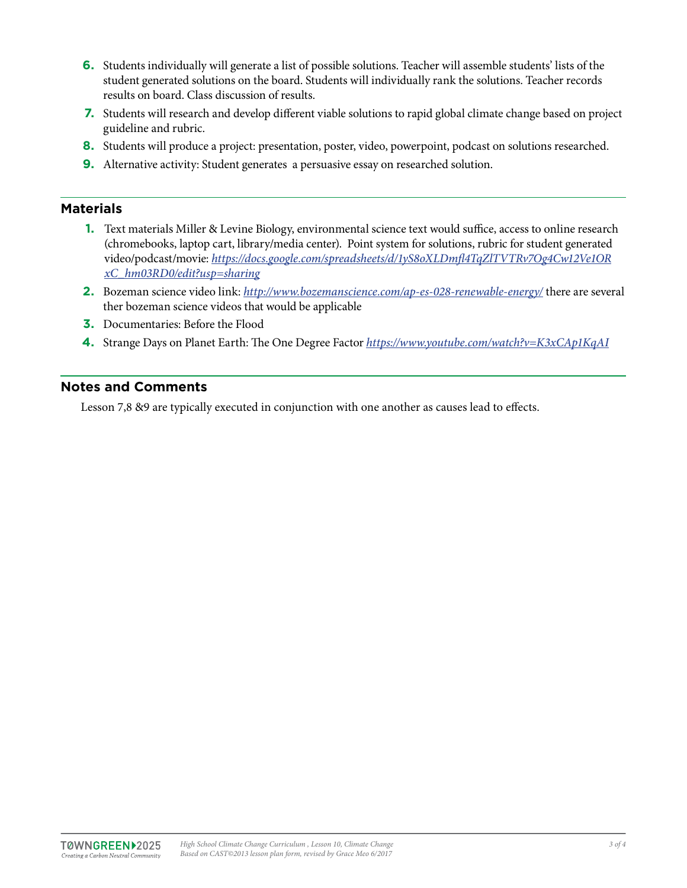- **6.** Students individually will generate a list of possible solutions. Teacher will assemble students' lists of the student generated solutions on the board. Students will individually rank the solutions. Teacher records results on board. Class discussion of results.
- **7.** Students will research and develop different viable solutions to rapid global climate change based on project guideline and rubric.
- **8.** Students will produce a project: presentation, poster, video, powerpoint, podcast on solutions researched.
- **9.** Alternative activity: Student generates a persuasive essay on researched solution.

### **Materials**

- **1.** Text materials Miller & Levine Biology, environmental science text would suffice, access to online research (chromebooks, laptop cart, library/media center). Point system for solutions, rubric for student generated video/podcast/movie: *[https://docs.google.com/spreadsheets/d/1yS8oXLDmfl4TqZlTVTRv7Og4Cw12Ve1OR](https://docs.google.com/spreadsheets/d/1yS8oXLDmfl4TqZlTVTRv7Og4Cw12Ve1ORxC_hm03RD0/edit?usp=sharing) [xC\\_hm03RD0/edit?usp=sharing](https://docs.google.com/spreadsheets/d/1yS8oXLDmfl4TqZlTVTRv7Og4Cw12Ve1ORxC_hm03RD0/edit?usp=sharing)*
- **2.** Bozeman science video link: *<http://www.bozemanscience.com/ap-es-028-renewable-energy/>* there are several ther bozeman science videos that would be applicable
- **3.** Documentaries: Before the Flood
- **4.** Strange Days on Planet Earth: The One Degree Factor *<https://www.youtube.com/watch?v=K3xCAp1KqAI>*

#### **Notes and Comments**

Lesson 7,8 &9 are typically executed in conjunction with one another as causes lead to effects.